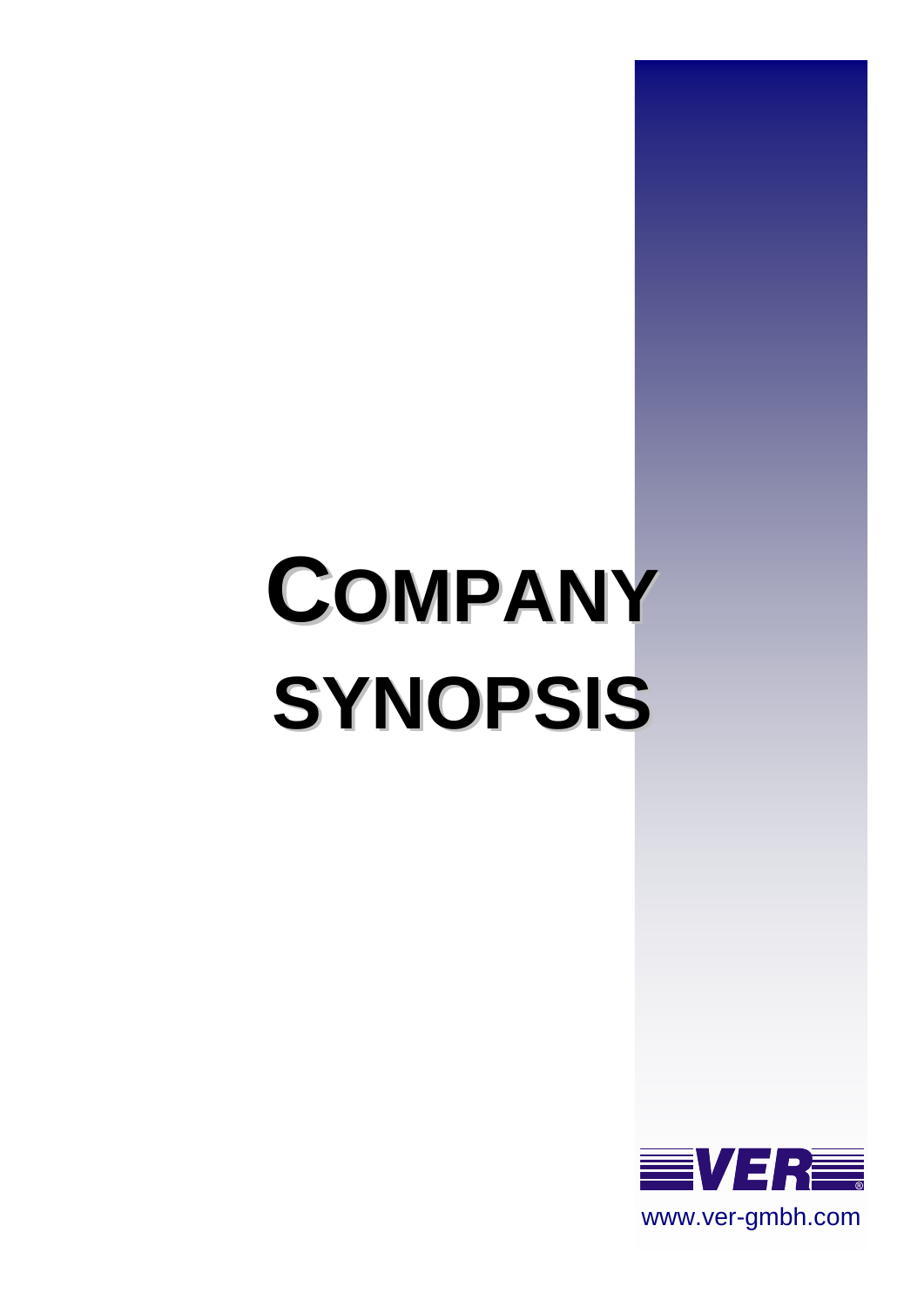# **COMPANY SYNOPSIS**

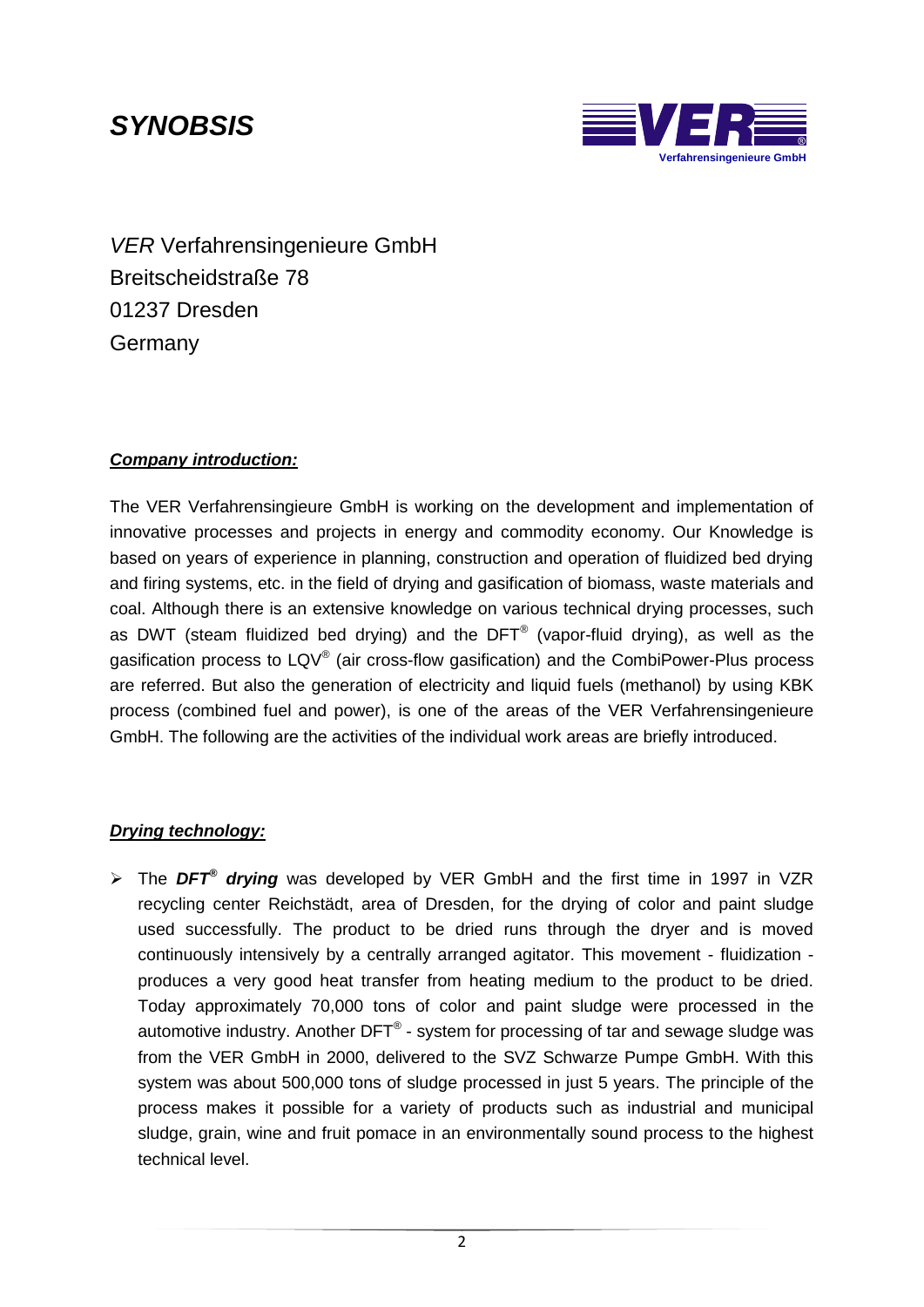## *SYNOBSIS*



*VER* Verfahrensingenieure GmbH Breitscheidstraße 78 01237 Dresden Germany

#### *Company introduction:*

The VER Verfahrensingieure GmbH is working on the development and implementation of innovative processes and projects in energy and commodity economy. Our Knowledge is based on years of experience in planning, construction and operation of fluidized bed drying and firing systems, etc. in the field of drying and gasification of biomass, waste materials and coal. Although there is an extensive knowledge on various technical drying processes, such as DWT (steam fluidized bed drying) and the DFT<sup>®</sup> (vapor-fluid drying), as well as the gasification process to LQV<sup>®</sup> (air cross-flow gasification) and the CombiPower-Plus process are referred. But also the generation of electricity and liquid fuels (methanol) by using KBK process (combined fuel and power), is one of the areas of the VER Verfahrensingenieure GmbH. The following are the activities of the individual work areas are briefly introduced.

#### *Drying technology:*

 The *DFT® drying* was developed by VER GmbH and the first time in 1997 in VZR recycling center Reichstädt, area of Dresden, for the drying of color and paint sludge used successfully. The product to be dried runs through the dryer and is moved continuously intensively by a centrally arranged agitator. This movement - fluidization produces a very good heat transfer from heating medium to the product to be dried. Today approximately 70,000 tons of color and paint sludge were processed in the automotive industry. Another DFT $^{\circ}$  - system for processing of tar and sewage sludge was from the VER GmbH in 2000, delivered to the SVZ Schwarze Pumpe GmbH. With this system was about 500,000 tons of sludge processed in just 5 years. The principle of the process makes it possible for a variety of products such as industrial and municipal sludge, grain, wine and fruit pomace in an environmentally sound process to the highest technical level.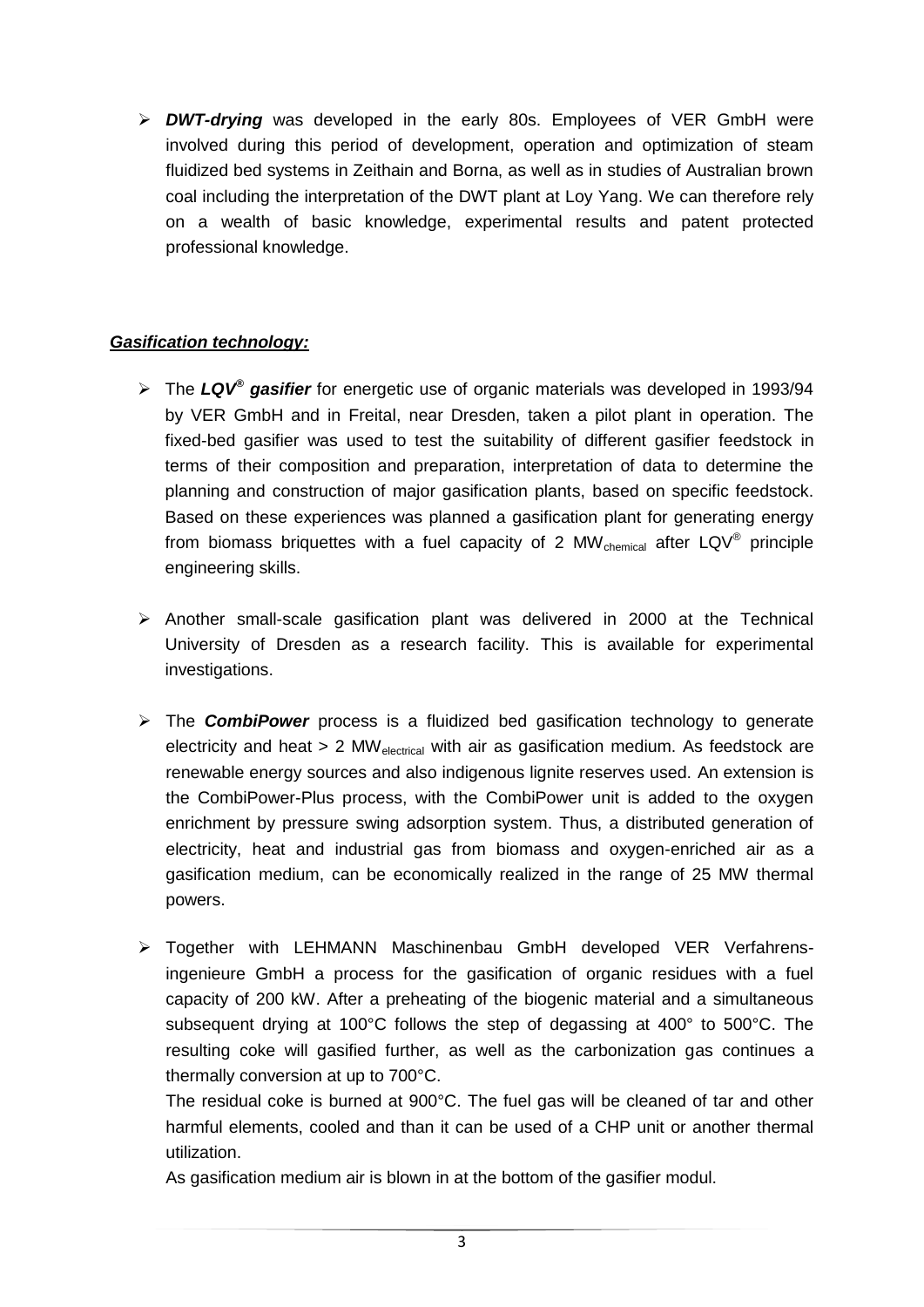*DWT-drying* was developed in the early 80s. Employees of VER GmbH were involved during this period of development, operation and optimization of steam fluidized bed systems in Zeithain and Borna, as well as in studies of Australian brown coal including the interpretation of the DWT plant at Loy Yang. We can therefore rely on a wealth of basic knowledge, experimental results and patent protected professional knowledge.

#### *Gasification technology:*

- The *LQV® gasifier* for energetic use of organic materials was developed in 1993/94 by VER GmbH and in Freital, near Dresden, taken a pilot plant in operation. The fixed-bed gasifier was used to test the suitability of different gasifier feedstock in terms of their composition and preparation, interpretation of data to determine the planning and construction of major gasification plants, based on specific feedstock. Based on these experiences was planned a gasification plant for generating energy from biomass briquettes with a fuel capacity of 2 MW $_{\text{chemical}}$  after LQV<sup>®</sup> principle engineering skills.
- $\triangleright$  Another small-scale gasification plant was delivered in 2000 at the Technical University of Dresden as a research facility. This is available for experimental investigations.
- The *CombiPower* process is a fluidized bed gasification technology to generate electricity and heat  $> 2$  MW<sub>electrical</sub> with air as gasification medium. As feedstock are renewable energy sources and also indigenous lignite reserves used. An extension is the CombiPower-Plus process, with the CombiPower unit is added to the oxygen enrichment by pressure swing adsorption system. Thus, a distributed generation of electricity, heat and industrial gas from biomass and oxygen-enriched air as a gasification medium, can be economically realized in the range of 25 MW thermal powers.
- Together with LEHMANN Maschinenbau GmbH developed VER Verfahrensingenieure GmbH a process for the gasification of organic residues with a fuel capacity of 200 kW. After a preheating of the biogenic material and a simultaneous subsequent drying at 100°C follows the step of degassing at 400° to 500°C. The resulting coke will gasified further, as well as the carbonization gas continues a thermally conversion at up to 700°C.

The residual coke is burned at 900°C. The fuel gas will be cleaned of tar and other harmful elements, cooled and than it can be used of a CHP unit or another thermal utilization.

As gasification medium air is blown in at the bottom of the gasifier modul.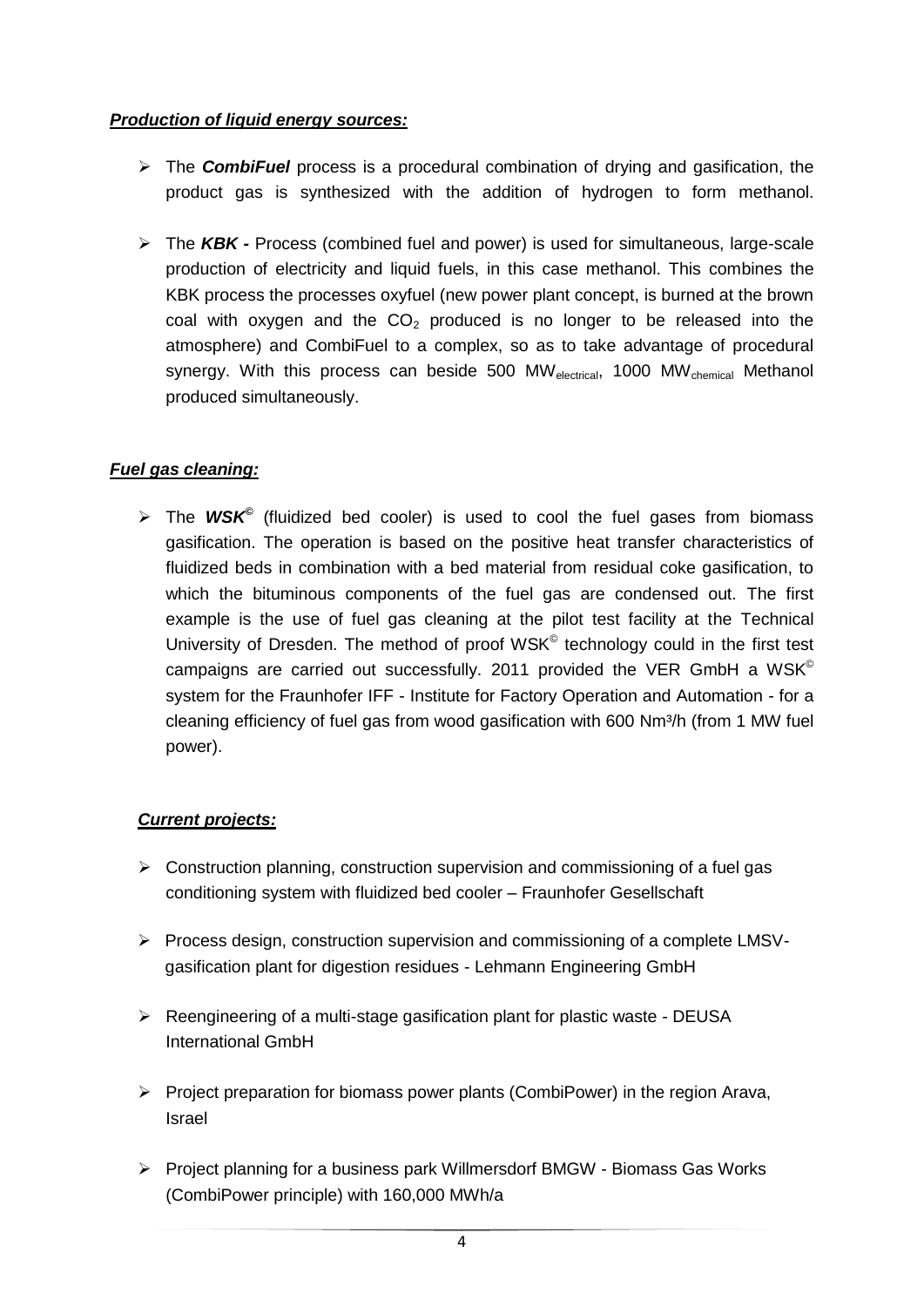#### *Production of liquid energy sources:*

- The *CombiFuel* process is a procedural combination of drying and gasification, the product gas is synthesized with the addition of hydrogen to form methanol.
- The *KBK -* Process (combined fuel and power) is used for simultaneous, large-scale production of electricity and liquid fuels, in this case methanol. This combines the KBK process the processes oxyfuel (new power plant concept, is burned at the brown coal with oxygen and the  $CO<sub>2</sub>$  produced is no longer to be released into the atmosphere) and CombiFuel to a complex, so as to take advantage of procedural synergy. With this process can beside 500 MW<sub>electrical</sub>, 1000 MW<sub>chemical</sub> Methanol produced simultaneously.

#### *Fuel gas cleaning:*

 The *WSK©* (fluidized bed cooler) is used to cool the fuel gases from biomass gasification. The operation is based on the positive heat transfer characteristics of fluidized beds in combination with a bed material from residual coke gasification, to which the bituminous components of the fuel gas are condensed out. The first example is the use of fuel gas cleaning at the pilot test facility at the Technical University of Dresden. The method of proof WSK<sup>®</sup> technology could in the first test campaigns are carried out successfully. 2011 provided the VER GmbH a  $WSK^{\circ}$ system for the Fraunhofer IFF - Institute for Factory Operation and Automation - for a cleaning efficiency of fuel gas from wood gasification with 600 Nm<sup>3</sup>/h (from 1 MW fuel power).

#### *Current projects:*

- $\triangleright$  Construction planning, construction supervision and commissioning of a fuel gas conditioning system with fluidized bed cooler – Fraunhofer Gesellschaft
- $\triangleright$  Process design, construction supervision and commissioning of a complete LMSVgasification plant for digestion residues - Lehmann Engineering GmbH
- $\triangleright$  Reengineering of a multi-stage gasification plant for plastic waste DEUSA International GmbH
- $\triangleright$  Project preparation for biomass power plants (CombiPower) in the region Arava, Israel
- $\triangleright$  Project planning for a business park Willmersdorf BMGW Biomass Gas Works (CombiPower principle) with 160,000 MWh/a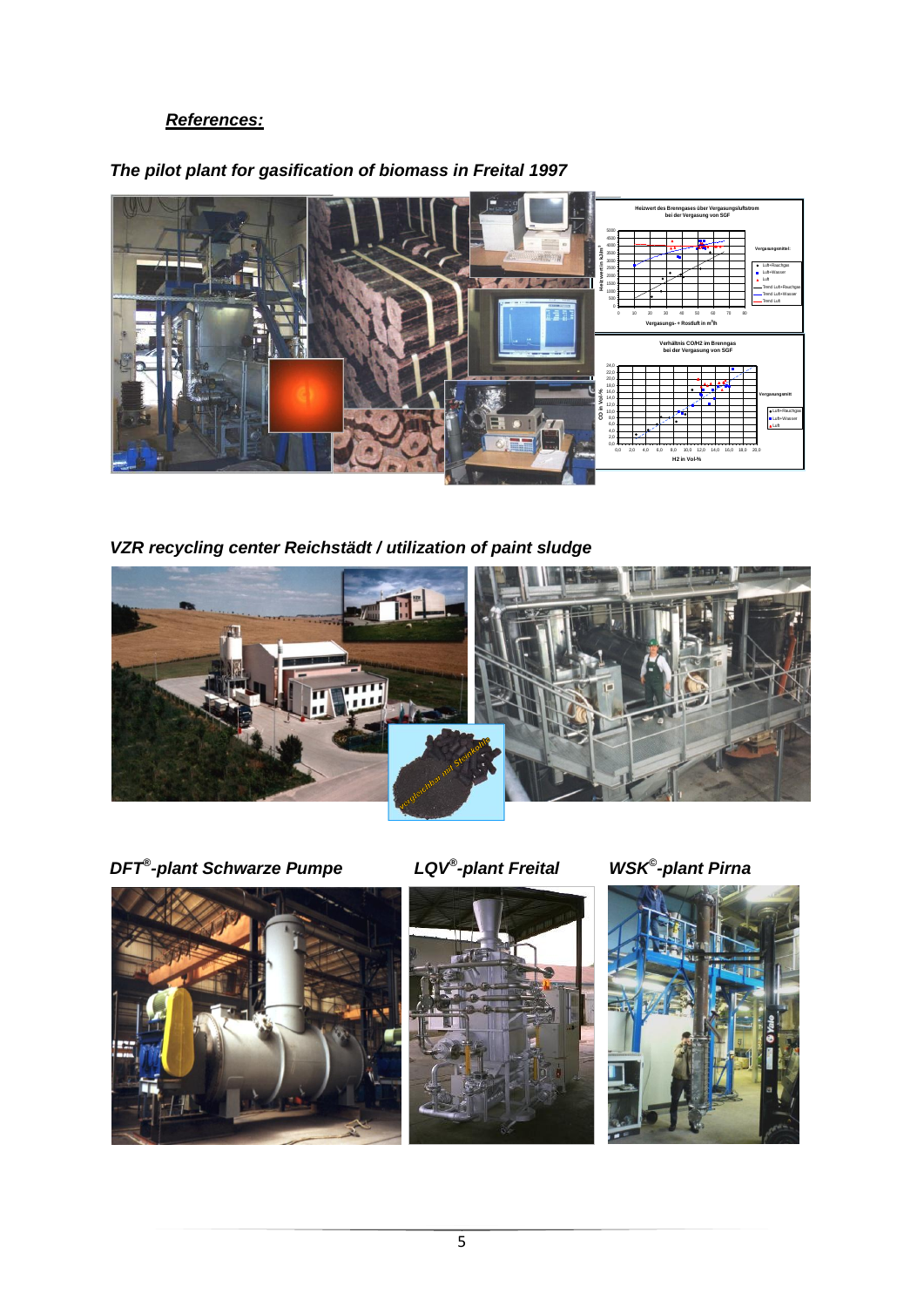#### *References:*



#### *The pilot plant for gasification of biomass in Freital 1997*

*VZR recycling center Reichstädt / utilization of paint sludge*



*DFT® -plant Schwarze Pumpe LQV®*

 $LQV^{\circledast}$ -plant Freital





*-plant Pirna*

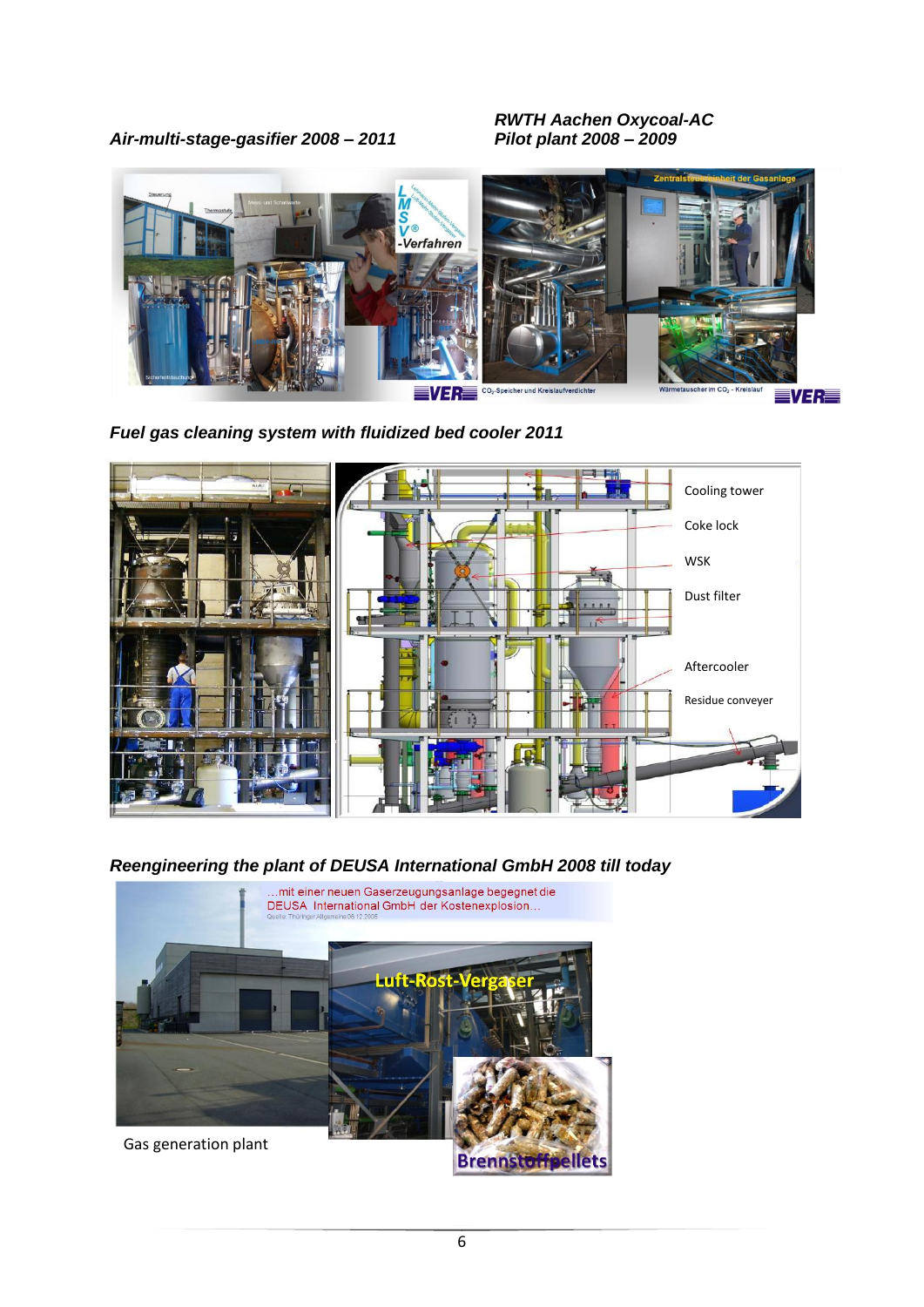*Air-multi-stage-gasifier 2008 – 2011 Pilot plant 2008 – 2009*

*RWTH Aachen Oxycoal-AC*



*Fuel gas cleaning system with fluidized bed cooler 2011*



*Reengineering the plant of DEUSA International GmbH 2008 till today*